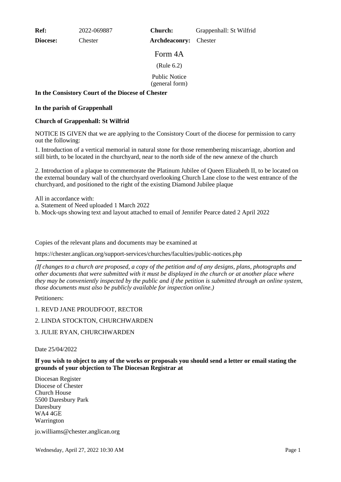**Ref:** 2022-069887

**Diocese:** Chester

**Church:** Grappenhall: St Wilfrid

Form 4A

**Archdeaconry:** Chester

(Rule 6.2)

Public Notice (general form)

**In the Consistory Court of the Diocese of Chester**

### **In the parish of Grappenhall**

# **Church of Grappenhall: St Wilfrid**

NOTICE IS GIVEN that we are applying to the Consistory Court of the diocese for permission to carry out the following:

1. Introduction of a vertical memorial in natural stone for those remembering miscarriage, abortion and still birth, to be located in the churchyard, near to the north side of the new annexe of the church

2. Introduction of a plaque to commemorate the Platinum Jubilee of Queen Elizabeth II, to be located on the external boundary wall of the churchyard overlooking Church Lane close to the west entrance of the churchyard, and positioned to the right of the existing Diamond Jubilee plaque

All in accordance with:

- a. Statement of Need uploaded 1 March 2022
- b. Mock-ups showing text and layout attached to email of Jennifer Pearce dated 2 April 2022

Copies of the relevant plans and documents may be examined at

https://chester.anglican.org/support-services/churches/faculties/public-notices.php

*(If changes to a church are proposed, a copy of the petition and of any designs, plans, photographs and other documents that were submitted with it must be displayed in the church or at another place where they may be conveniently inspected by the public and if the petition is submitted through an online system, those documents must also be publicly available for inspection online.)*

Petitioners:

1. REVD JANE PROUDFOOT, RECTOR

# 2. LINDA STOCKTON, CHURCHWARDEN

# 3. JULIE RYAN, CHURCHWARDEN

#### Date 25/04/2022

#### **If you wish to object to any of the works or proposals you should send a letter or email stating the grounds of your objection to The Diocesan Registrar at**

Diocesan Register Diocese of Chester Church House 5500 Daresbury Park Daresbury WA4 4GE Warrington

jo.williams@chester.anglican.org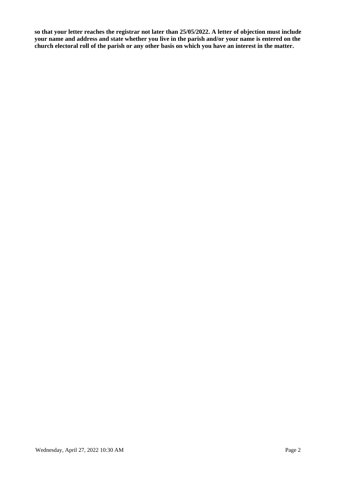**so that your letter reaches the registrar not later than 25/05/2022. A letter of objection must include your name and address and state whether you live in the parish and/or your name is entered on the church electoral roll of the parish or any other basis on which you have an interest in the matter.**